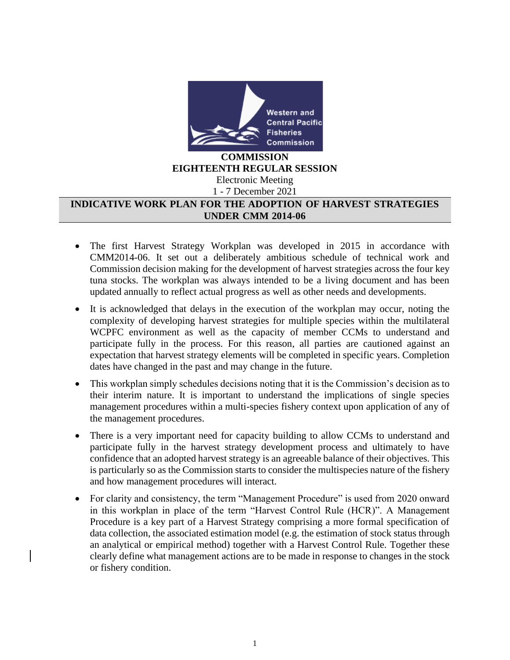

## **COMMISSION EIGHTEENTH REGULAR SESSION** Electronic Meeting

1 - 7 December 2021

## **INDICATIVE WORK PLAN FOR THE ADOPTION OF HARVEST STRATEGIES UNDER CMM 2014-06**

- The first Harvest Strategy Workplan was developed in 2015 in accordance with CMM2014-06. It set out a deliberately ambitious schedule of technical work and Commission decision making for the development of harvest strategies across the four key tuna stocks. The workplan was always intended to be a living document and has been updated annually to reflect actual progress as well as other needs and developments.
- It is acknowledged that delays in the execution of the workplan may occur, noting the complexity of developing harvest strategies for multiple species within the multilateral WCPFC environment as well as the capacity of member CCMs to understand and participate fully in the process. For this reason, all parties are cautioned against an expectation that harvest strategy elements will be completed in specific years. Completion dates have changed in the past and may change in the future.
- This workplan simply schedules decisions noting that it is the Commission's decision as to their interim nature. It is important to understand the implications of single species management procedures within a multi-species fishery context upon application of any of the management procedures.
- There is a very important need for capacity building to allow CCMs to understand and participate fully in the harvest strategy development process and ultimately to have confidence that an adopted harvest strategy is an agreeable balance of their objectives. This is particularly so as the Commission starts to consider the multispecies nature of the fishery and how management procedures will interact.
- For clarity and consistency, the term "Management Procedure" is used from 2020 onward in this workplan in place of the term "Harvest Control Rule (HCR)". A Management Procedure is a key part of a Harvest Strategy comprising a more formal specification of data collection, the associated estimation model (e.g. the estimation of stock status through an analytical or empirical method) together with a Harvest Control Rule. Together these clearly define what management actions are to be made in response to changes in the stock or fishery condition.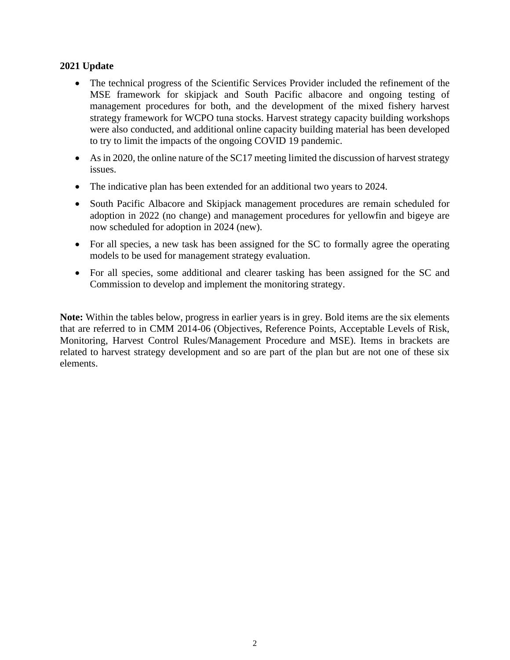## **2021 Update**

- The technical progress of the Scientific Services Provider included the refinement of the MSE framework for skipjack and South Pacific albacore and ongoing testing of management procedures for both, and the development of the mixed fishery harvest strategy framework for WCPO tuna stocks. Harvest strategy capacity building workshops were also conducted, and additional online capacity building material has been developed to try to limit the impacts of the ongoing COVID 19 pandemic.
- As in 2020, the online nature of the SC17 meeting limited the discussion of harvest strategy issues.
- The indicative plan has been extended for an additional two years to 2024.
- South Pacific Albacore and Skipjack management procedures are remain scheduled for adoption in 2022 (no change) and management procedures for yellowfin and bigeye are now scheduled for adoption in 2024 (new).
- For all species, a new task has been assigned for the SC to formally agree the operating models to be used for management strategy evaluation.
- For all species, some additional and clearer tasking has been assigned for the SC and Commission to develop and implement the monitoring strategy.

**Note:** Within the tables below, progress in earlier years is in grey. Bold items are the six elements that are referred to in CMM 2014-06 (Objectives, Reference Points, Acceptable Levels of Risk, Monitoring, Harvest Control Rules/Management Procedure and MSE). Items in brackets are related to harvest strategy development and so are part of the plan but are not one of these six elements.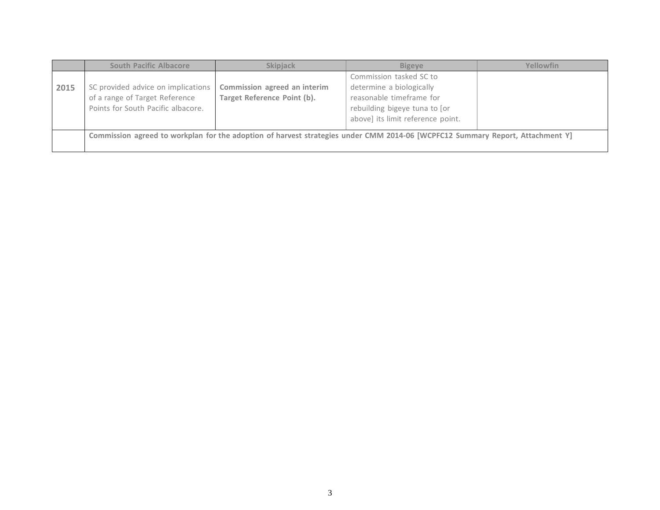|      | <b>South Pacific Albacore</b>                                                                                                 | <b>Skipiack</b>                                             | <b>Bigeve</b>                                                                                                                                         | Yellowfin |  |
|------|-------------------------------------------------------------------------------------------------------------------------------|-------------------------------------------------------------|-------------------------------------------------------------------------------------------------------------------------------------------------------|-----------|--|
| 2015 | SC provided advice on implications<br>of a range of Target Reference<br>Points for South Pacific albacore.                    | Commission agreed an interim<br>Target Reference Point (b). | Commission tasked SC to<br>determine a biologically<br>reasonable timeframe for<br>rebuilding bigeye tuna to [or<br>above] its limit reference point. |           |  |
|      | Commission agreed to workplan for the adoption of harvest strategies under CMM 2014-06 [WCPFC12 Summary Report, Attachment Y] |                                                             |                                                                                                                                                       |           |  |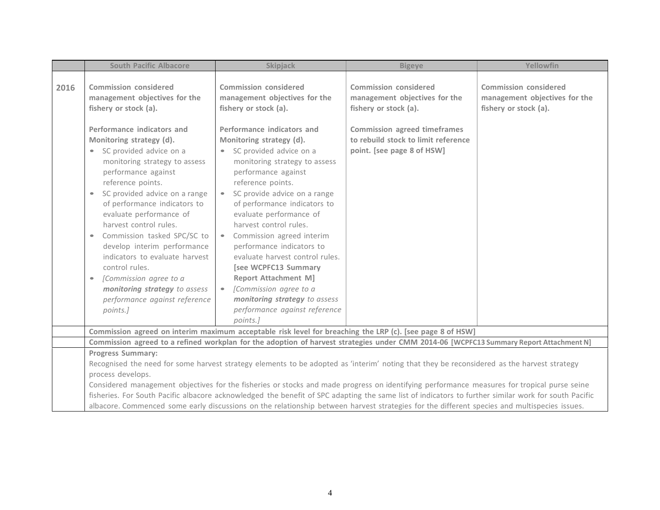|      | <b>South Pacific Albacore</b>                                                                                                                                                                                                                                                                                                                                                                                                                                                                                          | <b>Skipjack</b>                                                                                                                                                                                                                                                                                                                                                                                                                                                                                                                           | <b>Bigeye</b>                                                                                                                                                        | Yellowfin                                                                              |  |
|------|------------------------------------------------------------------------------------------------------------------------------------------------------------------------------------------------------------------------------------------------------------------------------------------------------------------------------------------------------------------------------------------------------------------------------------------------------------------------------------------------------------------------|-------------------------------------------------------------------------------------------------------------------------------------------------------------------------------------------------------------------------------------------------------------------------------------------------------------------------------------------------------------------------------------------------------------------------------------------------------------------------------------------------------------------------------------------|----------------------------------------------------------------------------------------------------------------------------------------------------------------------|----------------------------------------------------------------------------------------|--|
| 2016 | <b>Commission considered</b><br>management objectives for the<br>fishery or stock (a).<br>Performance indicators and<br>Monitoring strategy (d).                                                                                                                                                                                                                                                                                                                                                                       | <b>Commission considered</b><br>management objectives for the<br>fishery or stock (a).<br>Performance indicators and<br>Monitoring strategy (d).                                                                                                                                                                                                                                                                                                                                                                                          | <b>Commission considered</b><br>management objectives for the<br>fishery or stock (a).<br><b>Commission agreed timeframes</b><br>to rebuild stock to limit reference | <b>Commission considered</b><br>management objectives for the<br>fishery or stock (a). |  |
|      | SC provided advice on a<br>$\bullet$<br>monitoring strategy to assess<br>performance against<br>reference points.<br>SC provided advice on a range<br>$\bullet$<br>of performance indicators to<br>evaluate performance of<br>harvest control rules.<br>Commission tasked SPC/SC to<br>$\qquad \qquad \bullet$<br>develop interim performance<br>indicators to evaluate harvest<br>control rules.<br>[Commission agree to a<br>$\bullet$<br>monitoring strategy to assess<br>performance against reference<br>points.] | SC provided advice on a<br>$\bullet$<br>monitoring strategy to assess<br>performance against<br>reference points.<br>SC provide advice on a range<br>$\bullet$<br>of performance indicators to<br>evaluate performance of<br>harvest control rules.<br>Commission agreed interim<br>$\bullet$<br>performance indicators to<br>evaluate harvest control rules.<br>[see WCPFC13 Summary<br><b>Report Attachment M]</b><br>[Commission agree to a<br>$\bullet$<br>monitoring strategy to assess<br>performance against reference<br>points.] | point. [see page 8 of HSW]                                                                                                                                           |                                                                                        |  |
|      |                                                                                                                                                                                                                                                                                                                                                                                                                                                                                                                        | Commission agreed on interim maximum acceptable risk level for breaching the LRP (c). [see page 8 of HSW]                                                                                                                                                                                                                                                                                                                                                                                                                                 |                                                                                                                                                                      |                                                                                        |  |
|      |                                                                                                                                                                                                                                                                                                                                                                                                                                                                                                                        | Commission agreed to a refined workplan for the adoption of harvest strategies under CMM 2014-06 [WCPFC13 Summary Report Attachment N]                                                                                                                                                                                                                                                                                                                                                                                                    |                                                                                                                                                                      |                                                                                        |  |
|      | <b>Progress Summary:</b>                                                                                                                                                                                                                                                                                                                                                                                                                                                                                               |                                                                                                                                                                                                                                                                                                                                                                                                                                                                                                                                           |                                                                                                                                                                      |                                                                                        |  |
|      | Recognised the need for some harvest strategy elements to be adopted as 'interim' noting that they be reconsidered as the harvest strategy                                                                                                                                                                                                                                                                                                                                                                             |                                                                                                                                                                                                                                                                                                                                                                                                                                                                                                                                           |                                                                                                                                                                      |                                                                                        |  |
|      | process develops.                                                                                                                                                                                                                                                                                                                                                                                                                                                                                                      |                                                                                                                                                                                                                                                                                                                                                                                                                                                                                                                                           |                                                                                                                                                                      |                                                                                        |  |
|      |                                                                                                                                                                                                                                                                                                                                                                                                                                                                                                                        | Considered management objectives for the fisheries or stocks and made progress on identifying performance measures for tropical purse seine                                                                                                                                                                                                                                                                                                                                                                                               |                                                                                                                                                                      |                                                                                        |  |
|      |                                                                                                                                                                                                                                                                                                                                                                                                                                                                                                                        | fisheries. For South Pacific albacore acknowledged the benefit of SPC adapting the same list of indicators to further similar work for south Pacific                                                                                                                                                                                                                                                                                                                                                                                      |                                                                                                                                                                      |                                                                                        |  |
|      | albacore. Commenced some early discussions on the relationship between harvest strategies for the different species and multispecies issues.                                                                                                                                                                                                                                                                                                                                                                           |                                                                                                                                                                                                                                                                                                                                                                                                                                                                                                                                           |                                                                                                                                                                      |                                                                                        |  |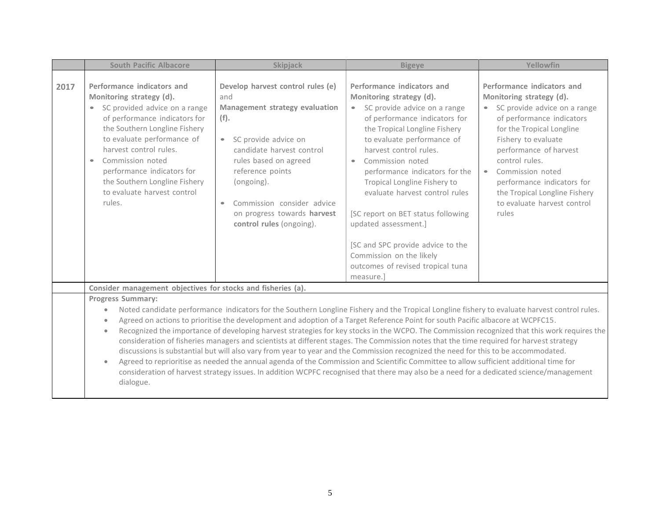|      | <b>South Pacific Albacore</b>                                                                                                                                                                                                                                                                                                                                                         | <b>Skipjack</b>                                                                                                                                                                                                                                                                                                                     | <b>Bigeye</b>                                                                                                                                                                                                                                                                                                                                                                                                                                                                                                                                                                                                                                                                                                                                                                                                                                                                                                                                                                                           | Yellowfin                                                                                                                                                                                                                                                                                                                                                     |
|------|---------------------------------------------------------------------------------------------------------------------------------------------------------------------------------------------------------------------------------------------------------------------------------------------------------------------------------------------------------------------------------------|-------------------------------------------------------------------------------------------------------------------------------------------------------------------------------------------------------------------------------------------------------------------------------------------------------------------------------------|---------------------------------------------------------------------------------------------------------------------------------------------------------------------------------------------------------------------------------------------------------------------------------------------------------------------------------------------------------------------------------------------------------------------------------------------------------------------------------------------------------------------------------------------------------------------------------------------------------------------------------------------------------------------------------------------------------------------------------------------------------------------------------------------------------------------------------------------------------------------------------------------------------------------------------------------------------------------------------------------------------|---------------------------------------------------------------------------------------------------------------------------------------------------------------------------------------------------------------------------------------------------------------------------------------------------------------------------------------------------------------|
| 2017 | Performance indicators and<br>Monitoring strategy (d).<br>SC provided advice on a range<br>$\bullet$<br>of performance indicators for<br>the Southern Longline Fishery<br>to evaluate performance of<br>harvest control rules.<br>Commission noted<br>$\qquad \qquad \bullet$<br>performance indicators for<br>the Southern Longline Fishery<br>to evaluate harvest control<br>rules. | Develop harvest control rules (e)<br>and<br>Management strategy evaluation<br>(f).<br>SC provide advice on<br>$\bullet$<br>candidate harvest control<br>rules based on agreed<br>reference points<br>(ongoing).<br>Commission consider advice<br>$\qquad \qquad \bullet$<br>on progress towards harvest<br>control rules (ongoing). | Performance indicators and<br>Monitoring strategy (d).<br>SC provide advice on a range<br>$\bullet$<br>of performance indicators for<br>the Tropical Longline Fishery<br>to evaluate performance of<br>harvest control rules.<br>Commission noted<br>$\bullet$<br>performance indicators for the<br>Tropical Longline Fishery to<br>evaluate harvest control rules<br>[SC report on BET status following<br>updated assessment.]<br>[SC and SPC provide advice to the<br>Commission on the likely<br>outcomes of revised tropical tuna<br>measure.]                                                                                                                                                                                                                                                                                                                                                                                                                                                     | Performance indicators and<br>Monitoring strategy (d).<br>• SC provide advice on a range<br>of performance indicators<br>for the Tropical Longline<br>Fishery to evaluate<br>performance of harvest<br>control rules.<br>Commission noted<br>$\bullet$<br>performance indicators for<br>the Tropical Longline Fishery<br>to evaluate harvest control<br>rules |
|      | Consider management objectives for stocks and fisheries (a).                                                                                                                                                                                                                                                                                                                          |                                                                                                                                                                                                                                                                                                                                     |                                                                                                                                                                                                                                                                                                                                                                                                                                                                                                                                                                                                                                                                                                                                                                                                                                                                                                                                                                                                         |                                                                                                                                                                                                                                                                                                                                                               |
|      | <b>Progress Summary:</b><br>$\bullet$<br>$\bullet$<br>$\bullet$<br>$\bullet$<br>dialogue.                                                                                                                                                                                                                                                                                             |                                                                                                                                                                                                                                                                                                                                     | Noted candidate performance indicators for the Southern Longline Fishery and the Tropical Longline fishery to evaluate harvest control rules.<br>Agreed on actions to prioritise the development and adoption of a Target Reference Point for south Pacific albacore at WCPFC15.<br>Recognized the importance of developing harvest strategies for key stocks in the WCPO. The Commission recognized that this work requires the<br>consideration of fisheries managers and scientists at different stages. The Commission notes that the time required for harvest strategy<br>discussions is substantial but will also vary from year to year and the Commission recognized the need for this to be accommodated.<br>Agreed to reprioritise as needed the annual agenda of the Commission and Scientific Committee to allow sufficient additional time for<br>consideration of harvest strategy issues. In addition WCPFC recognised that there may also be a need for a dedicated science/management |                                                                                                                                                                                                                                                                                                                                                               |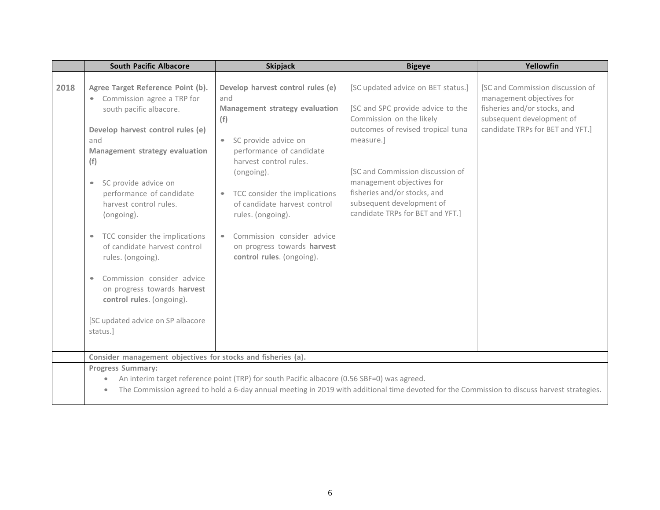|      | <b>South Pacific Albacore</b>                                                                                                                                                                                                                                                                                                                                                                                                                                                                                                                       | <b>Skipjack</b>                                                                                                                                                                                                                                                                                                                                                              | <b>Bigeye</b>                                                                                                                                                                                                                                                                                                           | Yellowfin                                                                                                                                                      |
|------|-----------------------------------------------------------------------------------------------------------------------------------------------------------------------------------------------------------------------------------------------------------------------------------------------------------------------------------------------------------------------------------------------------------------------------------------------------------------------------------------------------------------------------------------------------|------------------------------------------------------------------------------------------------------------------------------------------------------------------------------------------------------------------------------------------------------------------------------------------------------------------------------------------------------------------------------|-------------------------------------------------------------------------------------------------------------------------------------------------------------------------------------------------------------------------------------------------------------------------------------------------------------------------|----------------------------------------------------------------------------------------------------------------------------------------------------------------|
| 2018 | Agree Target Reference Point (b).<br>Commission agree a TRP for<br>south pacific albacore.<br>Develop harvest control rules (e)<br>and<br>Management strategy evaluation<br>(f)<br>SC provide advice on<br>$\bullet$<br>performance of candidate<br>harvest control rules.<br>(ongoing).<br>TCC consider the implications<br>$\bullet$<br>of candidate harvest control<br>rules. (ongoing).<br>Commission consider advice<br>$\bullet$<br>on progress towards harvest<br>control rules. (ongoing).<br>[SC updated advice on SP albacore<br>status.] | Develop harvest control rules (e)<br>and<br>Management strategy evaluation<br>(f)<br>SC provide advice on<br>$\bullet$<br>performance of candidate<br>harvest control rules.<br>(ongoing).<br>• TCC consider the implications<br>of candidate harvest control<br>rules. (ongoing).<br>Commission consider advice<br>on progress towards harvest<br>control rules. (ongoing). | [SC updated advice on BET status.]<br>[SC and SPC provide advice to the<br>Commission on the likely<br>outcomes of revised tropical tuna<br>measure.]<br>[SC and Commission discussion of<br>management objectives for<br>fisheries and/or stocks, and<br>subsequent development of<br>candidate TRPs for BET and YFT.] | [SC and Commission discussion of<br>management objectives for<br>fisheries and/or stocks, and<br>subsequent development of<br>candidate TRPs for BET and YFT.] |
|      | Consider management objectives for stocks and fisheries (a).<br><b>Progress Summary:</b><br>$\bullet$                                                                                                                                                                                                                                                                                                                                                                                                                                               | An interim target reference point (TRP) for south Pacific albacore (0.56 SBF=0) was agreed.                                                                                                                                                                                                                                                                                  |                                                                                                                                                                                                                                                                                                                         |                                                                                                                                                                |
|      | $\bullet$                                                                                                                                                                                                                                                                                                                                                                                                                                                                                                                                           |                                                                                                                                                                                                                                                                                                                                                                              | The Commission agreed to hold a 6-day annual meeting in 2019 with additional time devoted for the Commission to discuss harvest strategies.                                                                                                                                                                             |                                                                                                                                                                |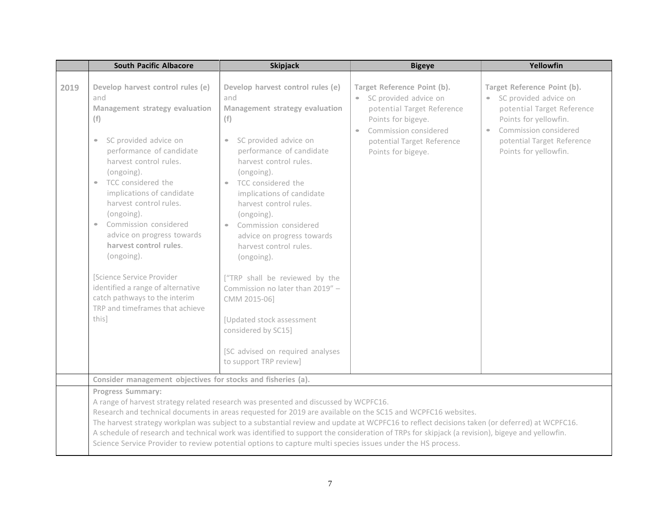|      | <b>South Pacific Albacore</b>                                                                                                                                                                                                                                                                                                                                                                                                                                                                                                                                  | <b>Skipjack</b>                                                                                                                                                                                                                                                                                                                                                                                                                                                                                                                                                                                                      | <b>Bigeye</b>                                                                                                                                                                                                   | Yellowfin                                                                                                                                                                                                  |
|------|----------------------------------------------------------------------------------------------------------------------------------------------------------------------------------------------------------------------------------------------------------------------------------------------------------------------------------------------------------------------------------------------------------------------------------------------------------------------------------------------------------------------------------------------------------------|----------------------------------------------------------------------------------------------------------------------------------------------------------------------------------------------------------------------------------------------------------------------------------------------------------------------------------------------------------------------------------------------------------------------------------------------------------------------------------------------------------------------------------------------------------------------------------------------------------------------|-----------------------------------------------------------------------------------------------------------------------------------------------------------------------------------------------------------------|------------------------------------------------------------------------------------------------------------------------------------------------------------------------------------------------------------|
| 2019 | Develop harvest control rules (e)<br>and<br>Management strategy evaluation<br>(f)<br>SC provided advice on<br>$\bullet$<br>performance of candidate<br>harvest control rules.<br>(ongoing).<br>TCC considered the<br>$\bullet$<br>implications of candidate<br>harvest control rules.<br>(ongoing).<br>Commission considered<br>$\bullet$<br>advice on progress towards<br>harvest control rules.<br>(ongoing).<br>[Science Service Provider<br>identified a range of alternative<br>catch pathways to the interim<br>TRP and timeframes that achieve<br>this] | Develop harvest control rules (e)<br>and<br>Management strategy evaluation<br>(f)<br>• SC provided advice on<br>performance of candidate<br>harvest control rules.<br>(ongoing).<br>• TCC considered the<br>implications of candidate<br>harvest control rules.<br>(ongoing).<br>Commission considered<br>$\bullet$<br>advice on progress towards<br>harvest control rules.<br>(ongoing).<br>["TRP shall be reviewed by the<br>Commission no later than 2019" -<br>CMM 2015-06]<br>[Updated stock assessment<br>considered by SC15]<br>[SC advised on required analyses<br>to support TRP review]                    | Target Reference Point (b).<br>SC provided advice on<br>$\bullet$<br>potential Target Reference<br>Points for bigeye.<br>Commission considered<br>$\bullet$<br>potential Target Reference<br>Points for bigeye. | Target Reference Point (b).<br>• SC provided advice on<br>potential Target Reference<br>Points for yellowfin.<br>Commission considered<br>$\bullet$<br>potential Target Reference<br>Points for yellowfin. |
|      | Consider management objectives for stocks and fisheries (a).                                                                                                                                                                                                                                                                                                                                                                                                                                                                                                   |                                                                                                                                                                                                                                                                                                                                                                                                                                                                                                                                                                                                                      |                                                                                                                                                                                                                 |                                                                                                                                                                                                            |
|      | <b>Progress Summary:</b>                                                                                                                                                                                                                                                                                                                                                                                                                                                                                                                                       | A range of harvest strategy related research was presented and discussed by WCPFC16.<br>Research and technical documents in areas requested for 2019 are available on the SC15 and WCPFC16 websites.<br>The harvest strategy workplan was subject to a substantial review and update at WCPFC16 to reflect decisions taken (or deferred) at WCPFC16.<br>A schedule of research and technical work was identified to support the consideration of TRPs for skipjack (a revision), bigeye and yellowfin.<br>Science Service Provider to review potential options to capture multi species issues under the HS process. |                                                                                                                                                                                                                 |                                                                                                                                                                                                            |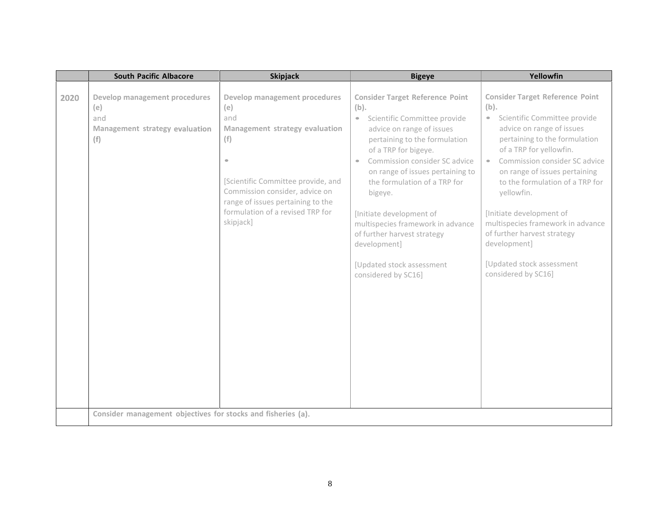|      | <b>South Pacific Albacore</b>                                                                                                                        | <b>Skipjack</b>                                                                                                                                                                                                                                                 | <b>Bigeye</b>                                                                                                                                                                                                                                                                                                                                                                                                                                                                      | Yellowfin                                                                                                                                                                                                                                                                                                                                                                                                                                                                       |
|------|------------------------------------------------------------------------------------------------------------------------------------------------------|-----------------------------------------------------------------------------------------------------------------------------------------------------------------------------------------------------------------------------------------------------------------|------------------------------------------------------------------------------------------------------------------------------------------------------------------------------------------------------------------------------------------------------------------------------------------------------------------------------------------------------------------------------------------------------------------------------------------------------------------------------------|---------------------------------------------------------------------------------------------------------------------------------------------------------------------------------------------------------------------------------------------------------------------------------------------------------------------------------------------------------------------------------------------------------------------------------------------------------------------------------|
| 2020 | Develop management procedures<br>(e)<br>and<br>Management strategy evaluation<br>(f)<br>Consider management objectives for stocks and fisheries (a). | Develop management procedures<br>(e)<br>and<br>Management strategy evaluation<br>(f)<br>$\bullet$<br>[Scientific Committee provide, and<br>Commission consider, advice on<br>range of issues pertaining to the<br>formulation of a revised TRP for<br>skipjack] | <b>Consider Target Reference Point</b><br>(b).<br>Scientific Committee provide<br>$\bullet$<br>advice on range of issues<br>pertaining to the formulation<br>of a TRP for bigeye.<br>Commission consider SC advice<br>$\bullet$<br>on range of issues pertaining to<br>the formulation of a TRP for<br>bigeye.<br>[Initiate development of<br>multispecies framework in advance<br>of further harvest strategy<br>development]<br>[Updated stock assessment<br>considered by SC16] | <b>Consider Target Reference Point</b><br>(b).<br>• Scientific Committee provide<br>advice on range of issues<br>pertaining to the formulation<br>of a TRP for yellowfin.<br>Commission consider SC advice<br>$\bullet$ .<br>on range of issues pertaining<br>to the formulation of a TRP for<br>yellowfin.<br>[Initiate development of<br>multispecies framework in advance<br>of further harvest strategy<br>development]<br>[Updated stock assessment<br>considered by SC16] |
|      |                                                                                                                                                      |                                                                                                                                                                                                                                                                 |                                                                                                                                                                                                                                                                                                                                                                                                                                                                                    |                                                                                                                                                                                                                                                                                                                                                                                                                                                                                 |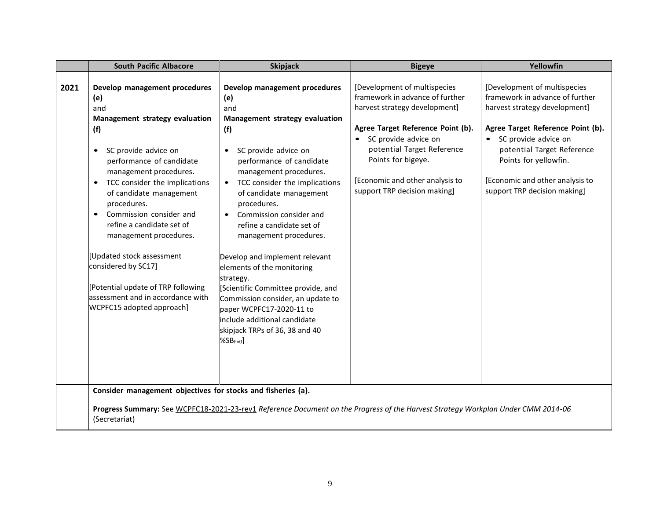|      | <b>South Pacific Albacore</b>                                                                                                                                                                                                                                                                                                                                                                                                                                                                                                     | <b>Skipjack</b>                                                                                                                                                                                                                                                                                                                                                                                                                                                                                                                                                                                                 | <b>Bigeye</b>                                                                                                                                                                                                                                                                        | Yellowfin                                                                                                                                                                                                                                                                                 |
|------|-----------------------------------------------------------------------------------------------------------------------------------------------------------------------------------------------------------------------------------------------------------------------------------------------------------------------------------------------------------------------------------------------------------------------------------------------------------------------------------------------------------------------------------|-----------------------------------------------------------------------------------------------------------------------------------------------------------------------------------------------------------------------------------------------------------------------------------------------------------------------------------------------------------------------------------------------------------------------------------------------------------------------------------------------------------------------------------------------------------------------------------------------------------------|--------------------------------------------------------------------------------------------------------------------------------------------------------------------------------------------------------------------------------------------------------------------------------------|-------------------------------------------------------------------------------------------------------------------------------------------------------------------------------------------------------------------------------------------------------------------------------------------|
| 2021 | Develop management procedures<br>(e)<br>and<br>Management strategy evaluation<br>(f)<br>SC provide advice on<br>$\bullet$<br>performance of candidate<br>management procedures.<br>TCC consider the implications<br>$\bullet$<br>of candidate management<br>procedures.<br>Commission consider and<br>$\bullet$<br>refine a candidate set of<br>management procedures.<br>Updated stock assessment<br>considered by SC17]<br>[Potential update of TRP following<br>assessment and in accordance with<br>WCPFC15 adopted approach] | Develop management procedures<br>(e)<br>and<br>Management strategy evaluation<br>(f)<br>SC provide advice on<br>performance of candidate<br>management procedures.<br>• TCC consider the implications<br>of candidate management<br>procedures.<br>Commission consider and<br>$\bullet$<br>refine a candidate set of<br>management procedures.<br>Develop and implement relevant<br>elements of the monitoring<br>strategy.<br>Scientific Committee provide, and<br>Commission consider, an update to<br>paper WCPFC17-2020-11 to<br>include additional candidate<br>skipjack TRPs of 36, 38 and 40<br>$%SBF=0$ | [Development of multispecies<br>framework in advance of further<br>harvest strategy development]<br>Agree Target Reference Point (b).<br>SC provide advice on<br>potential Target Reference<br>Points for bigeye.<br>[Economic and other analysis to<br>support TRP decision making] | [Development of multispecies<br>framework in advance of further<br>harvest strategy development]<br>Agree Target Reference Point (b).<br>• SC provide advice on<br>potential Target Reference<br>Points for yellowfin.<br>[Economic and other analysis to<br>support TRP decision making] |
|      | Consider management objectives for stocks and fisheries (a).                                                                                                                                                                                                                                                                                                                                                                                                                                                                      |                                                                                                                                                                                                                                                                                                                                                                                                                                                                                                                                                                                                                 |                                                                                                                                                                                                                                                                                      |                                                                                                                                                                                                                                                                                           |
|      | (Secretariat)                                                                                                                                                                                                                                                                                                                                                                                                                                                                                                                     | Progress Summary: See WCPFC18-2021-23-rev1 Reference Document on the Progress of the Harvest Strategy Workplan Under CMM 2014-06                                                                                                                                                                                                                                                                                                                                                                                                                                                                                |                                                                                                                                                                                                                                                                                      |                                                                                                                                                                                                                                                                                           |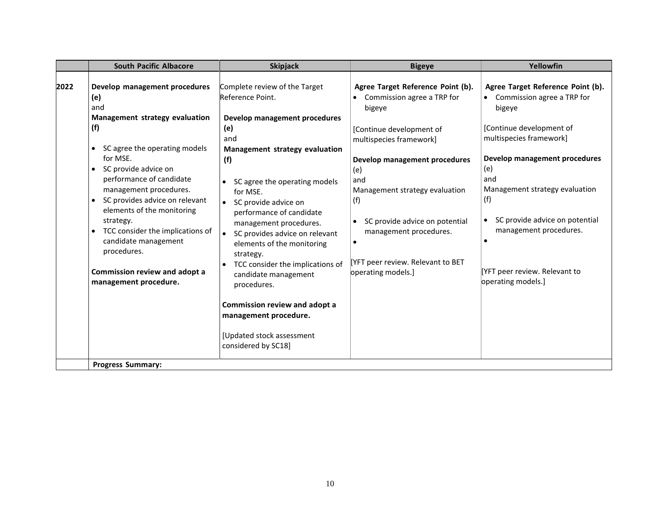|      | <b>South Pacific Albacore</b>                                                                                                                                                                                                                                                                                                                                                                                                                                            | <b>Skipjack</b>                                                                                                                                                                                                                                                                                                                                                                                                                                                                                                                              | <b>Bigeye</b>                                                                                                                                                                                                                                                                                                                                   | Yellowfin                                                                                                                                                                                                                                                                                                                                                  |
|------|--------------------------------------------------------------------------------------------------------------------------------------------------------------------------------------------------------------------------------------------------------------------------------------------------------------------------------------------------------------------------------------------------------------------------------------------------------------------------|----------------------------------------------------------------------------------------------------------------------------------------------------------------------------------------------------------------------------------------------------------------------------------------------------------------------------------------------------------------------------------------------------------------------------------------------------------------------------------------------------------------------------------------------|-------------------------------------------------------------------------------------------------------------------------------------------------------------------------------------------------------------------------------------------------------------------------------------------------------------------------------------------------|------------------------------------------------------------------------------------------------------------------------------------------------------------------------------------------------------------------------------------------------------------------------------------------------------------------------------------------------------------|
| 2022 | Develop management procedures<br>(e)<br>and<br>Management strategy evaluation<br>(f)<br>SC agree the operating models<br>$\bullet$<br>for MSE.<br>SC provide advice on<br>$\bullet$<br>performance of candidate<br>management procedures.<br>SC provides advice on relevant<br>elements of the monitoring<br>strategy.<br>TCC consider the implications of<br>$\bullet$<br>candidate management<br>procedures.<br>Commission review and adopt a<br>management procedure. | Complete review of the Target<br>Reference Point.<br>Develop management procedures<br>(e)<br>and<br>Management strategy evaluation<br>(f)<br>SC agree the operating models<br>for MSE.<br>• SC provide advice on<br>performance of candidate<br>management procedures.<br>SC provides advice on relevant<br>elements of the monitoring<br>strategy.<br>TCC consider the implications of<br>candidate management<br>procedures.<br>Commission review and adopt a<br>management procedure.<br>[Updated stock assessment<br>considered by SC18] | Agree Target Reference Point (b).<br>Commission agree a TRP for<br>bigeye<br>[Continue development of<br>multispecies framework]<br>Develop management procedures<br>(e)<br>and<br>Management strategy evaluation<br>(f)<br>SC provide advice on potential<br>management procedures.<br>[YFT peer review. Relevant to BET<br>operating models.] | Agree Target Reference Point (b).<br>• Commission agree a TRP for<br>bigeye<br>[Continue development of<br>multispecies framework]<br>Develop management procedures<br>(e)<br>and<br>Management strategy evaluation<br>(f)<br>SC provide advice on potential<br>management procedures.<br>$\bullet$<br>[YFT peer review. Relevant to<br>operating models.] |
|      | <b>Progress Summary:</b>                                                                                                                                                                                                                                                                                                                                                                                                                                                 |                                                                                                                                                                                                                                                                                                                                                                                                                                                                                                                                              |                                                                                                                                                                                                                                                                                                                                                 |                                                                                                                                                                                                                                                                                                                                                            |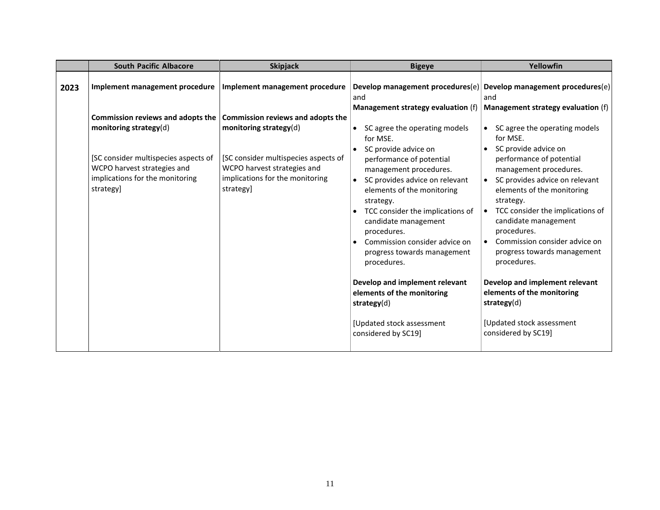|      | <b>South Pacific Albacore</b>                                                                                                                                                      | <b>Skipjack</b>                                                                                                                                                                    | <b>Bigeye</b>                                                                                                                                                                                                                                                                                                                                                                                                                                                                       | Yellowfin                                                                                                                                                                                                                                                                                                                                                                                                                                                                           |
|------|------------------------------------------------------------------------------------------------------------------------------------------------------------------------------------|------------------------------------------------------------------------------------------------------------------------------------------------------------------------------------|-------------------------------------------------------------------------------------------------------------------------------------------------------------------------------------------------------------------------------------------------------------------------------------------------------------------------------------------------------------------------------------------------------------------------------------------------------------------------------------|-------------------------------------------------------------------------------------------------------------------------------------------------------------------------------------------------------------------------------------------------------------------------------------------------------------------------------------------------------------------------------------------------------------------------------------------------------------------------------------|
| 2023 | Implement management procedure                                                                                                                                                     | Implement management procedure                                                                                                                                                     | and                                                                                                                                                                                                                                                                                                                                                                                                                                                                                 | Develop management procedures $(e)$ Develop management procedures $(e)$<br>and                                                                                                                                                                                                                                                                                                                                                                                                      |
|      | Commission reviews and adopts the<br>monitoring strategy(d)<br>[SC consider multispecies aspects of<br>WCPO harvest strategies and<br>implications for the monitoring<br>strategy] | Commission reviews and adopts the<br>monitoring strategy(d)<br>[SC consider multispecies aspects of<br>WCPO harvest strategies and<br>implications for the monitoring<br>strategy] | Management strategy evaluation (f)<br>SC agree the operating models<br>for MSE.<br>SC provide advice on<br>performance of potential<br>management procedures.<br>SC provides advice on relevant<br>elements of the monitoring<br>strategy.<br>TCC consider the implications of<br>candidate management<br>procedures.<br>Commission consider advice on<br>progress towards management<br>procedures.<br>Develop and implement relevant<br>elements of the monitoring<br>strategy(d) | Management strategy evaluation (f)<br>SC agree the operating models<br>for MSE.<br>SC provide advice on<br>performance of potential<br>management procedures.<br>SC provides advice on relevant<br>elements of the monitoring<br>strategy.<br>TCC consider the implications of<br>candidate management<br>procedures.<br>Commission consider advice on<br>progress towards management<br>procedures.<br>Develop and implement relevant<br>elements of the monitoring<br>strategy(d) |
|      |                                                                                                                                                                                    |                                                                                                                                                                                    | [Updated stock assessment<br>considered by SC19]                                                                                                                                                                                                                                                                                                                                                                                                                                    | [Updated stock assessment<br>considered by SC19]                                                                                                                                                                                                                                                                                                                                                                                                                                    |